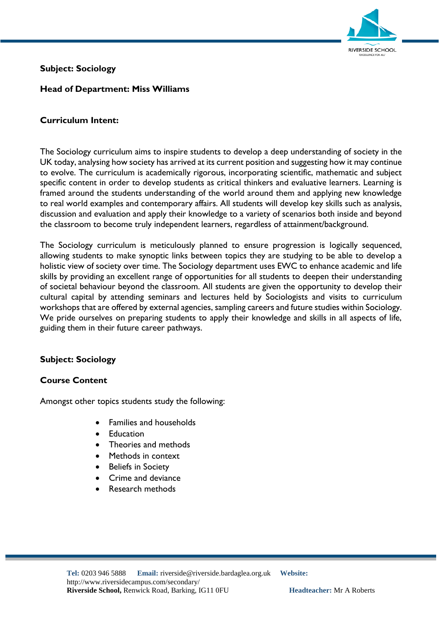

# **Subject: Sociology**

### **Head of Department: Miss Williams**

#### **Curriculum Intent:**

The Sociology curriculum aims to inspire students to develop a deep understanding of society in the UK today, analysing how society has arrived at its current position and suggesting how it may continue to evolve. The curriculum is academically rigorous, incorporating scientific, mathematic and subject specific content in order to develop students as critical thinkers and evaluative learners. Learning is framed around the students understanding of the world around them and applying new knowledge to real world examples and contemporary affairs. All students will develop key skills such as analysis, discussion and evaluation and apply their knowledge to a variety of scenarios both inside and beyond the classroom to become truly independent learners, regardless of attainment/background.

The Sociology curriculum is meticulously planned to ensure progression is logically sequenced, allowing students to make synoptic links between topics they are studying to be able to develop a holistic view of society over time. The Sociology department uses EWC to enhance academic and life skills by providing an excellent range of opportunities for all students to deepen their understanding of societal behaviour beyond the classroom. All students are given the opportunity to develop their cultural capital by attending seminars and lectures held by Sociologists and visits to curriculum workshops that are offered by external agencies, sampling careers and future studies within Sociology. We pride ourselves on preparing students to apply their knowledge and skills in all aspects of life, guiding them in their future career pathways.

## **Subject: Sociology**

#### **Course Content**

Amongst other topics students study the following:

- Families and households
- Education
- Theories and methods
- Methods in context
- Beliefs in Society
- Crime and deviance
- Research methods